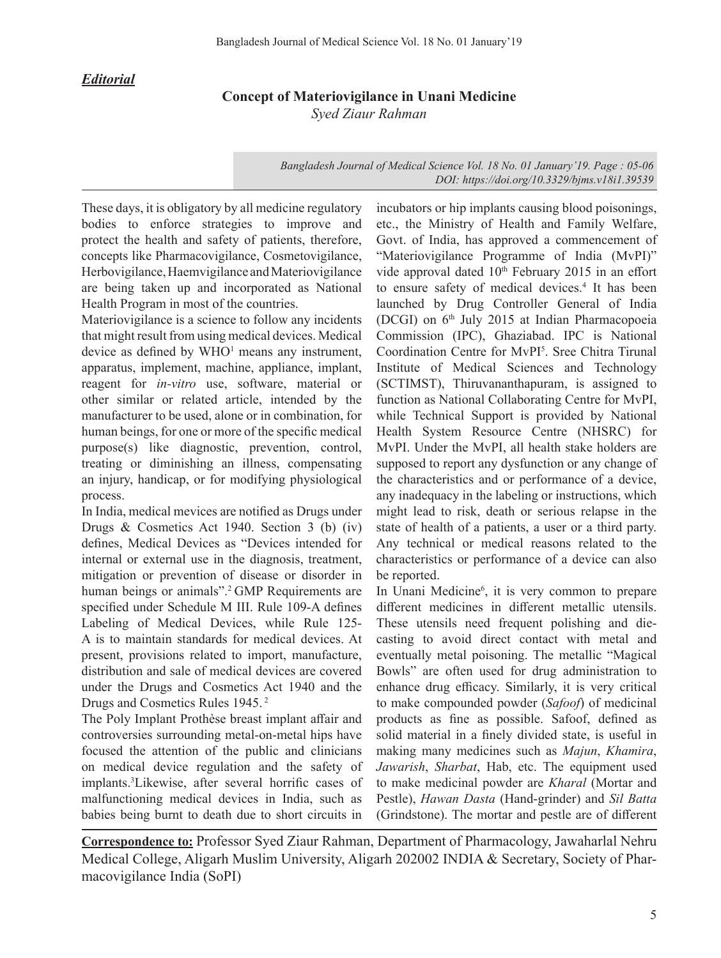## *Editorial*

## **Concept of Materiovigilance in Unani Medicine** *Syed Ziaur Rahman*

*Bangladesh Journal of Medical Science Vol. 18 No. 01 January'19. Page : 05-06 DOI: https://doi.org/10.3329/bjms.v18i1.39539*

These days, it is obligatory by all medicine regulatory bodies to enforce strategies to improve and protect the health and safety of patients, therefore, concepts like Pharmacovigilance, Cosmetovigilance, Herbovigilance, Haemvigilance and Materiovigilance are being taken up and incorporated as National Health Program in most of the countries.

Materiovigilance is a science to follow any incidents that might result from using medical devices. Medical device as defined by WHO<sup>1</sup> means any instrument, apparatus, implement, machine, appliance, implant, reagent for *in-vitro* use, software, material or other similar or related article, intended by the manufacturer to be used, alone or in combination, for human beings, for one or more of the specific medical purpose(s) like diagnostic, prevention, control, treating or diminishing an illness, compensating an injury, handicap, or for modifying physiological process.

In India, medical mevices are notified as Drugs under Drugs & Cosmetics Act 1940. Section 3 (b) (iv) defines, Medical Devices as "Devices intended for internal or external use in the diagnosis, treatment, mitigation or prevention of disease or disorder in human beings or animals".<sup>2</sup> GMP Requirements are specified under Schedule M III. Rule 109-A defines Labeling of Medical Devices, while Rule 125- A is to maintain standards for medical devices. At present, provisions related to import, manufacture, distribution and sale of medical devices are covered under the Drugs and Cosmetics Act 1940 and the Drugs and Cosmetics Rules 1945. <sup>2</sup>

The Poly Implant Prothèse breast implant affair and controversies surrounding metal-on-metal hips have focused the attention of the public and clinicians on medical device regulation and the safety of implants.3 Likewise, after several horrific cases of malfunctioning medical devices in India, such as babies being burnt to death due to short circuits in

incubators or hip implants causing blood poisonings, etc., the Ministry of Health and Family Welfare, Govt. of India, has approved a commencement of "Materiovigilance Programme of India (MvPI)" vide approval dated 10<sup>th</sup> February 2015 in an effort to ensure safety of medical devices.<sup>4</sup> It has been launched by Drug Controller General of India (DCGI) on 6th July 2015 at Indian Pharmacopoeia Commission (IPC), Ghaziabad. IPC is National Coordination Centre for MvPI<sup>5</sup>. Sree Chitra Tirunal Institute of Medical Sciences and Technology (SCTIMST), Thiruvananthapuram, is assigned to function as National Collaborating Centre for MvPI, while Technical Support is provided by National Health System Resource Centre (NHSRC) for MvPI. Under the MvPI, all health stake holders are supposed to report any dysfunction or any change of the characteristics and or performance of a device, any inadequacy in the labeling or instructions, which might lead to risk, death or serious relapse in the state of health of a patients, a user or a third party. Any technical or medical reasons related to the characteristics or performance of a device can also be reported.

In Unani Medicine<sup>6</sup>, it is very common to prepare different medicines in different metallic utensils. These utensils need frequent polishing and diecasting to avoid direct contact with metal and eventually metal poisoning. The metallic "Magical Bowls" are often used for drug administration to enhance drug efficacy. Similarly, it is very critical to make compounded powder (*Safoof*) of medicinal products as fine as possible. Safoof, defined as solid material in a finely divided state, is useful in making many medicines such as *Majun*, *Khamira*, *Jawarish*, *Sharbat*, Hab, etc. The equipment used to make medicinal powder are *Kharal* (Mortar and Pestle), *Hawan Dasta* (Hand-grinder) and *Sil Batta* (Grindstone). The mortar and pestle are of different

**Correspondence to:** Professor Syed Ziaur Rahman, Department of Pharmacology, Jawaharlal Nehru Medical College, Aligarh Muslim University, Aligarh 202002 INDIA & Secretary, Society of Pharmacovigilance India (SoPI)